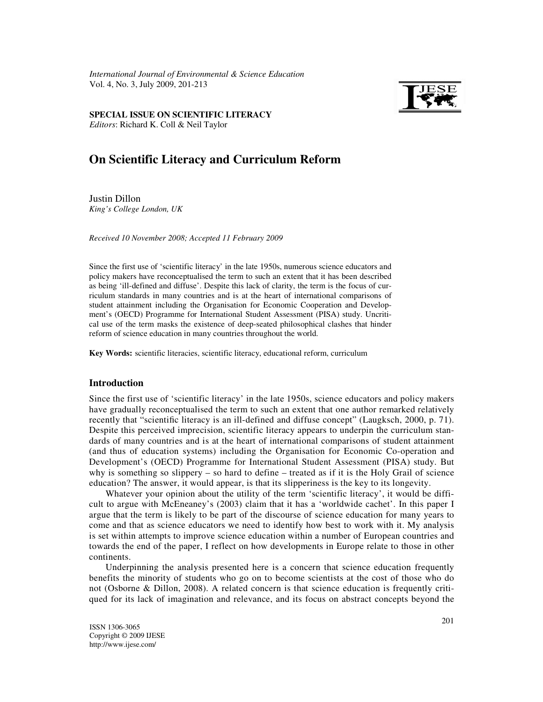*International Journal of Environmental & Science Education*  Vol. 4, No. 3, July 2009, 201-213



Editors: Richard K. Coll & Neil Taylor **SPECIAL ISSUE ON SCIENTIFIC LITERACY** 

# **On Scientific Literacy and Curriculum Reform**

Justin Dillon *King's College London, UK*

*Received 10 November 2008; Accepted 11 February 2009* 

Since the first use of 'scientific literacy' in the late 1950s, numerous science educators and policy makers have reconceptualised the term to such an extent that it has been described as being 'ill-defined and diffuse'. Despite this lack of clarity, the term is the focus of curriculum standards in many countries and is at the heart of international comparisons of student attainment including the Organisation for Economic Cooperation and Development's (OECD) Programme for International Student Assessment (PISA) study. Uncritical use of the term masks the existence of deep-seated philosophical clashes that hinder reform of science education in many countries throughout the world.

**Key Words:** scientific literacies, scientific literacy, educational reform, curriculum

## **Introduction**

Since the first use of 'scientific literacy' in the late 1950s, science educators and policy makers have gradually reconceptualised the term to such an extent that one author remarked relatively recently that "scientific literacy is an ill-defined and diffuse concept" (Laugksch, 2000, p. 71). Despite this perceived imprecision, scientific literacy appears to underpin the curriculum standards of many countries and is at the heart of international comparisons of student attainment (and thus of education systems) including the Organisation for Economic Co-operation and Development's (OECD) Programme for International Student Assessment (PISA) study. But why is something so slippery – so hard to define – treated as if it is the Holy Grail of science education? The answer, it would appear, is that its slipperiness is the key to its longevity.

Whatever your opinion about the utility of the term 'scientific literacy', it would be difficult to argue with McEneaney's (2003) claim that it has a 'worldwide cachet'. In this paper I argue that the term is likely to be part of the discourse of science education for many years to come and that as science educators we need to identify how best to work with it. My analysis is set within attempts to improve science education within a number of European countries and towards the end of the paper, I reflect on how developments in Europe relate to those in other continents.

Underpinning the analysis presented here is a concern that science education frequently benefits the minority of students who go on to become scientists at the cost of those who do not (Osborne & Dillon, 2008). A related concern is that science education is frequently critiqued for its lack of imagination and relevance, and its focus on abstract concepts beyond the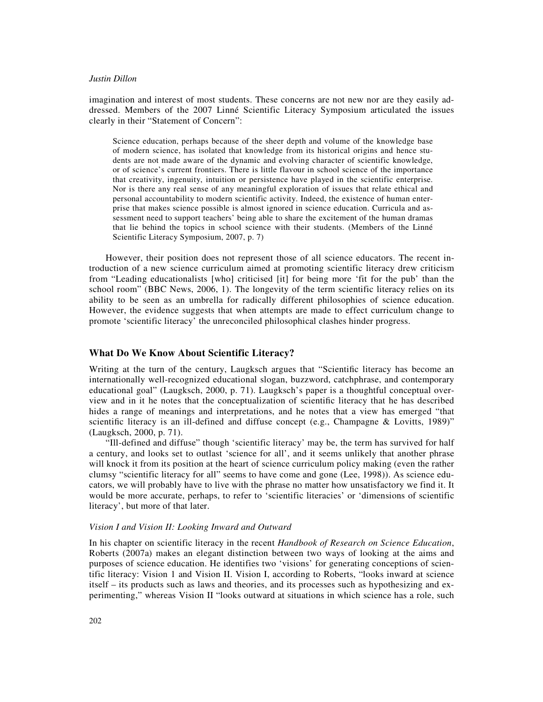imagination and interest of most students. These concerns are not new nor are they easily addressed. Members of the 2007 Linné Scientific Literacy Symposium articulated the issues clearly in their "Statement of Concern":

Science education, perhaps because of the sheer depth and volume of the knowledge base of modern science, has isolated that knowledge from its historical origins and hence students are not made aware of the dynamic and evolving character of scientific knowledge, or of science's current frontiers. There is little flavour in school science of the importance that creativity, ingenuity, intuition or persistence have played in the scientific enterprise. Nor is there any real sense of any meaningful exploration of issues that relate ethical and personal accountability to modern scientific activity. Indeed, the existence of human enterprise that makes science possible is almost ignored in science education. Curricula and assessment need to support teachers' being able to share the excitement of the human dramas that lie behind the topics in school science with their students. (Members of the Linné Scientific Literacy Symposium, 2007, p. 7)

However, their position does not represent those of all science educators. The recent introduction of a new science curriculum aimed at promoting scientific literacy drew criticism from "Leading educationalists [who] criticised [it] for being more 'fit for the pub' than the school room" (BBC News, 2006, 1). The longevity of the term scientific literacy relies on its ability to be seen as an umbrella for radically different philosophies of science education. However, the evidence suggests that when attempts are made to effect curriculum change to promote 'scientific literacy' the unreconciled philosophical clashes hinder progress.

## **What Do We Know About Scientific Literacy?**

Writing at the turn of the century, Laugksch argues that "Scientific literacy has become an internationally well-recognized educational slogan, buzzword, catchphrase, and contemporary educational goal" (Laugksch, 2000, p. 71). Laugksch's paper is a thoughtful conceptual overview and in it he notes that the conceptualization of scientific literacy that he has described hides a range of meanings and interpretations, and he notes that a view has emerged "that scientific literacy is an ill-defined and diffuse concept (e.g., Champagne & Lovitts, 1989)" (Laugksch, 2000, p. 71).

"Ill-defined and diffuse" though 'scientific literacy' may be, the term has survived for half a century, and looks set to outlast 'science for all', and it seems unlikely that another phrase will knock it from its position at the heart of science curriculum policy making (even the rather clumsy "scientific literacy for all" seems to have come and gone (Lee, 1998)). As science educators, we will probably have to live with the phrase no matter how unsatisfactory we find it. It would be more accurate, perhaps, to refer to 'scientific literacies' or 'dimensions of scientific literacy', but more of that later.

## *Vision I and Vision II: Looking Inward and Outward*

In his chapter on scientific literacy in the recent *Handbook of Research on Science Education*, Roberts (2007a) makes an elegant distinction between two ways of looking at the aims and purposes of science education. He identifies two 'visions' for generating conceptions of scientific literacy: Vision 1 and Vision II. Vision I, according to Roberts, "looks inward at science itself – its products such as laws and theories, and its processes such as hypothesizing and experimenting," whereas Vision II "looks outward at situations in which science has a role, such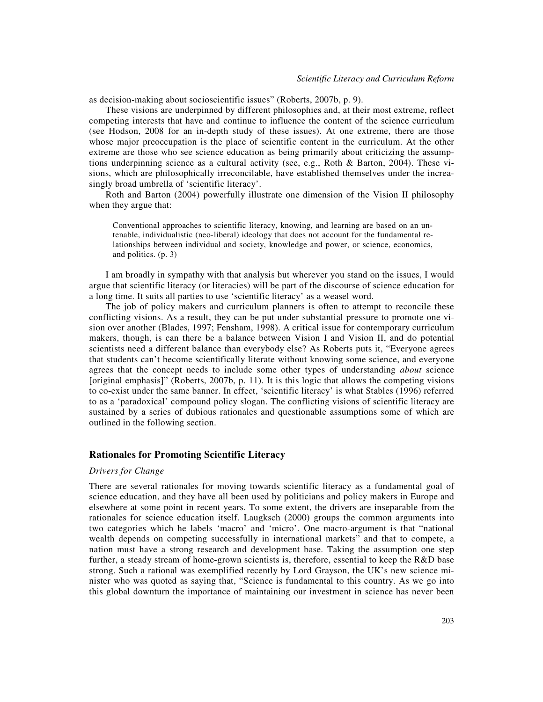as decision-making about socioscientific issues" (Roberts, 2007b, p. 9).

These visions are underpinned by different philosophies and, at their most extreme, reflect competing interests that have and continue to influence the content of the science curriculum (see Hodson, 2008 for an in-depth study of these issues). At one extreme, there are those whose major preoccupation is the place of scientific content in the curriculum. At the other extreme are those who see science education as being primarily about criticizing the assumptions underpinning science as a cultural activity (see, e.g., Roth & Barton, 2004). These visions, which are philosophically irreconcilable, have established themselves under the increasingly broad umbrella of 'scientific literacy'.

Roth and Barton (2004) powerfully illustrate one dimension of the Vision II philosophy when they argue that:

Conventional approaches to scientific literacy, knowing, and learning are based on an untenable, individualistic (neo-liberal) ideology that does not account for the fundamental relationships between individual and society, knowledge and power, or science, economics, and politics. (p. 3)

I am broadly in sympathy with that analysis but wherever you stand on the issues, I would argue that scientific literacy (or literacies) will be part of the discourse of science education for a long time. It suits all parties to use 'scientific literacy' as a weasel word.

The job of policy makers and curriculum planners is often to attempt to reconcile these conflicting visions. As a result, they can be put under substantial pressure to promote one vision over another (Blades, 1997; Fensham, 1998). A critical issue for contemporary curriculum makers, though, is can there be a balance between Vision I and Vision II, and do potential scientists need a different balance than everybody else? As Roberts puts it, "Everyone agrees that students can't become scientifically literate without knowing some science, and everyone agrees that the concept needs to include some other types of understanding *about* science [original emphasis]" (Roberts, 2007b, p. 11). It is this logic that allows the competing visions to co-exist under the same banner. In effect, 'scientific literacy' is what Stables (1996) referred to as a 'paradoxical' compound policy slogan. The conflicting visions of scientific literacy are sustained by a series of dubious rationales and questionable assumptions some of which are outlined in the following section.

## **Rationales for Promoting Scientific Literacy**

## *Drivers for Change*

There are several rationales for moving towards scientific literacy as a fundamental goal of science education, and they have all been used by politicians and policy makers in Europe and elsewhere at some point in recent years. To some extent, the drivers are inseparable from the rationales for science education itself. Laugksch (2000) groups the common arguments into two categories which he labels 'macro' and 'micro'. One macro-argument is that "national wealth depends on competing successfully in international markets" and that to compete, a nation must have a strong research and development base. Taking the assumption one step further, a steady stream of home-grown scientists is, therefore, essential to keep the R&D base strong. Such a rational was exemplified recently by Lord Grayson, the UK's new science minister who was quoted as saying that, "Science is fundamental to this country. As we go into this global downturn the importance of maintaining our investment in science has never been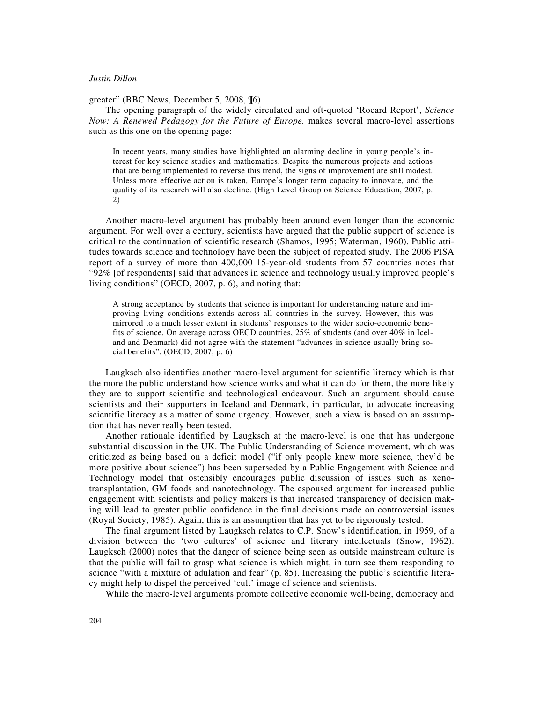greater" (BBC News, December 5, 2008, ¶6).

The opening paragraph of the widely circulated and oft-quoted 'Rocard Report', *Science Now: A Renewed Pedagogy for the Future of Europe,* makes several macro-level assertions such as this one on the opening page:

In recent years, many studies have highlighted an alarming decline in young people's interest for key science studies and mathematics. Despite the numerous projects and actions that are being implemented to reverse this trend, the signs of improvement are still modest. Unless more effective action is taken, Europe's longer term capacity to innovate, and the quality of its research will also decline. (High Level Group on Science Education, 2007, p. 2)

Another macro-level argument has probably been around even longer than the economic argument. For well over a century, scientists have argued that the public support of science is critical to the continuation of scientific research (Shamos, 1995; Waterman, 1960). Public attitudes towards science and technology have been the subject of repeated study. The 2006 PISA report of a survey of more than 400,000 15-year-old students from 57 countries notes that "92% [of respondents] said that advances in science and technology usually improved people's living conditions" (OECD, 2007, p. 6), and noting that:

A strong acceptance by students that science is important for understanding nature and improving living conditions extends across all countries in the survey. However, this was mirrored to a much lesser extent in students' responses to the wider socio-economic benefits of science. On average across OECD countries, 25% of students (and over 40% in Iceland and Denmark) did not agree with the statement "advances in science usually bring social benefits". (OECD, 2007, p. 6)

Laugksch also identifies another macro-level argument for scientific literacy which is that the more the public understand how science works and what it can do for them, the more likely they are to support scientific and technological endeavour. Such an argument should cause scientists and their supporters in Iceland and Denmark, in particular, to advocate increasing scientific literacy as a matter of some urgency. However, such a view is based on an assumption that has never really been tested.

Another rationale identified by Laugksch at the macro-level is one that has undergone substantial discussion in the UK. The Public Understanding of Science movement, which was criticized as being based on a deficit model ("if only people knew more science, they'd be more positive about science") has been superseded by a Public Engagement with Science and Technology model that ostensibly encourages public discussion of issues such as xenotransplantation, GM foods and nanotechnology. The espoused argument for increased public engagement with scientists and policy makers is that increased transparency of decision making will lead to greater public confidence in the final decisions made on controversial issues (Royal Society, 1985). Again, this is an assumption that has yet to be rigorously tested.

The final argument listed by Laugksch relates to C.P. Snow's identification, in 1959, of a division between the 'two cultures' of science and literary intellectuals (Snow, 1962). Laugksch (2000) notes that the danger of science being seen as outside mainstream culture is that the public will fail to grasp what science is which might, in turn see them responding to science "with a mixture of adulation and fear" (p. 85). Increasing the public's scientific literacy might help to dispel the perceived 'cult' image of science and scientists.

While the macro-level arguments promote collective economic well-being, democracy and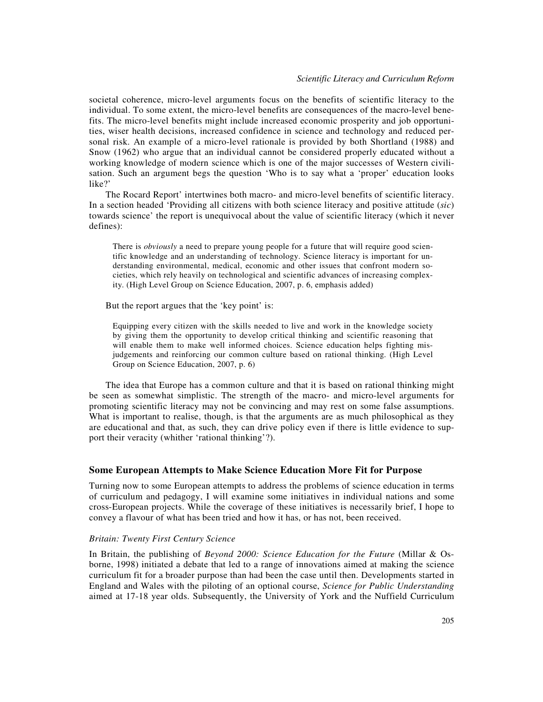societal coherence, micro-level arguments focus on the benefits of scientific literacy to the individual. To some extent, the micro-level benefits are consequences of the macro-level benefits. The micro-level benefits might include increased economic prosperity and job opportunities, wiser health decisions, increased confidence in science and technology and reduced personal risk. An example of a micro-level rationale is provided by both Shortland (1988) and Snow (1962) who argue that an individual cannot be considered properly educated without a working knowledge of modern science which is one of the major successes of Western civilisation. Such an argument begs the question 'Who is to say what a 'proper' education looks like?'

The Rocard Report' intertwines both macro- and micro-level benefits of scientific literacy. In a section headed 'Providing all citizens with both science literacy and positive attitude (*sic*) towards science' the report is unequivocal about the value of scientific literacy (which it never defines):

There is *obviously* a need to prepare young people for a future that will require good scientific knowledge and an understanding of technology. Science literacy is important for understanding environmental, medical, economic and other issues that confront modern societies, which rely heavily on technological and scientific advances of increasing complexity. (High Level Group on Science Education, 2007, p. 6, emphasis added)

But the report argues that the 'key point' is:

Equipping every citizen with the skills needed to live and work in the knowledge society by giving them the opportunity to develop critical thinking and scientific reasoning that will enable them to make well informed choices. Science education helps fighting misjudgements and reinforcing our common culture based on rational thinking. (High Level Group on Science Education, 2007, p. 6)

The idea that Europe has a common culture and that it is based on rational thinking might be seen as somewhat simplistic. The strength of the macro- and micro-level arguments for promoting scientific literacy may not be convincing and may rest on some false assumptions. What is important to realise, though, is that the arguments are as much philosophical as they are educational and that, as such, they can drive policy even if there is little evidence to support their veracity (whither 'rational thinking'?).

## **Some European Attempts to Make Science Education More Fit for Purpose**

Turning now to some European attempts to address the problems of science education in terms of curriculum and pedagogy, I will examine some initiatives in individual nations and some cross-European projects. While the coverage of these initiatives is necessarily brief, I hope to convey a flavour of what has been tried and how it has, or has not, been received.

## *Britain: Twenty First Century Science*

In Britain, the publishing of *Beyond 2000: Science Education for the Future* (Millar & Osborne, 1998) initiated a debate that led to a range of innovations aimed at making the science curriculum fit for a broader purpose than had been the case until then. Developments started in England and Wales with the piloting of an optional course, *Science for Public Understanding* aimed at 17-18 year olds. Subsequently, the University of York and the Nuffield Curriculum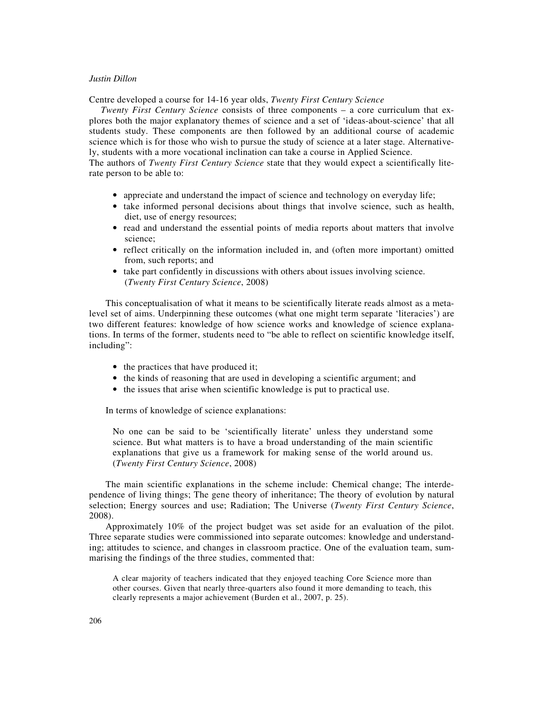Centre developed a course for 14-16 year olds, *Twenty First Century Science*

*Twenty First Century Science* consists of three components – a core curriculum that explores both the major explanatory themes of science and a set of 'ideas-about-science' that all students study. These components are then followed by an additional course of academic science which is for those who wish to pursue the study of science at a later stage. Alternatively, students with a more vocational inclination can take a course in Applied Science.

The authors of *Twenty First Century Science* state that they would expect a scientifically literate person to be able to:

- appreciate and understand the impact of science and technology on everyday life;
- take informed personal decisions about things that involve science, such as health, diet, use of energy resources;
- read and understand the essential points of media reports about matters that involve science;
- reflect critically on the information included in, and (often more important) omitted from, such reports; and
- take part confidently in discussions with others about issues involving science. (*Twenty First Century Science*, 2008)

This conceptualisation of what it means to be scientifically literate reads almost as a metalevel set of aims. Underpinning these outcomes (what one might term separate 'literacies') are two different features: knowledge of how science works and knowledge of science explanations. In terms of the former, students need to "be able to reflect on scientific knowledge itself, including":

- the practices that have produced it;
- the kinds of reasoning that are used in developing a scientific argument; and
- the issues that arise when scientific knowledge is put to practical use.

In terms of knowledge of science explanations:

No one can be said to be 'scientifically literate' unless they understand some science. But what matters is to have a broad understanding of the main scientific explanations that give us a framework for making sense of the world around us. (*Twenty First Century Science*, 2008)

The main scientific explanations in the scheme include: Chemical change; The interdependence of living things; The gene theory of inheritance; The theory of evolution by natural selection; Energy sources and use; Radiation; The Universe (*Twenty First Century Science*, 2008).

Approximately 10% of the project budget was set aside for an evaluation of the pilot. Three separate studies were commissioned into separate outcomes: knowledge and understanding; attitudes to science, and changes in classroom practice. One of the evaluation team, summarising the findings of the three studies, commented that:

A clear majority of teachers indicated that they enjoyed teaching Core Science more than other courses. Given that nearly three-quarters also found it more demanding to teach, this clearly represents a major achievement (Burden et al., 2007, p. 25).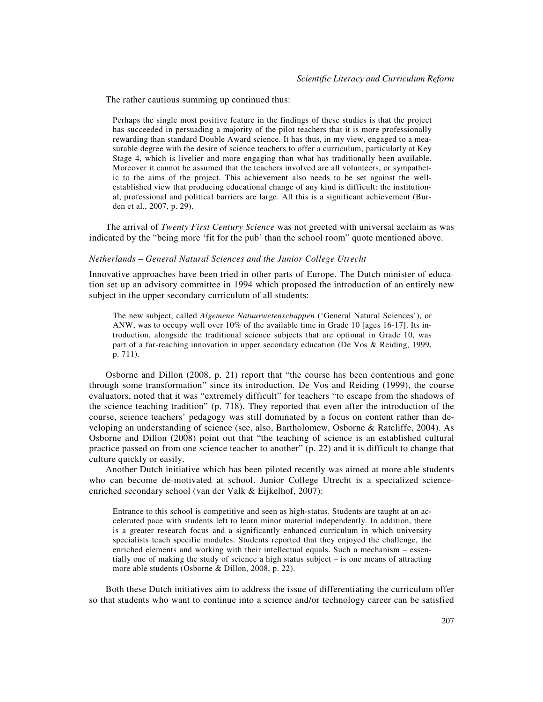The rather cautious summing up continued thus:

Perhaps the single most positive feature in the findings of these studies is that the project has succeeded in persuading a majority of the pilot teachers that it is more professionally rewarding than standard Double Award science. It has thus, in my view, engaged to a measurable degree with the desire of science teachers to offer a curriculum, particularly at Key Stage 4, which is livelier and more engaging than what has traditionally been available. Moreover it cannot be assumed that the teachers involved are all volunteers, or sympathetic to the aims of the project. This achievement also needs to be set against the wellestablished view that producing educational change of any kind is difficult: the institutional, professional and political barriers are large. All this is a significant achievement (Burden et al., 2007, p. 29).

The arrival of *Twenty First Century Science* was not greeted with universal acclaim as was indicated by the "being more 'fit for the pub' than the school room" quote mentioned above.

### *Netherlands – General Natural Sciences and the Junior College Utrecht*

Innovative approaches have been tried in other parts of Europe. The Dutch minister of education set up an advisory committee in 1994 which proposed the introduction of an entirely new subject in the upper secondary curriculum of all students:

The new subject, called *Algemene Natuurwetenschappen* ('General Natural Sciences'), or ANW, was to occupy well over 10% of the available time in Grade 10 [ages 16-17]. Its introduction, alongside the traditional science subjects that are optional in Grade 10, was part of a far-reaching innovation in upper secondary education (De Vos & Reiding, 1999, p. 711).

Osborne and Dillon (2008, p. 21) report that "the course has been contentious and gone through some transformation" since its introduction. De Vos and Reiding (1999), the course evaluators, noted that it was "extremely difficult" for teachers "to escape from the shadows of the science teaching tradition" (p. 718). They reported that even after the introduction of the course, science teachers' pedagogy was still dominated by a focus on content rather than developing an understanding of science (see, also, Bartholomew, Osborne & Ratcliffe, 2004). As Osborne and Dillon (2008) point out that "the teaching of science is an established cultural practice passed on from one science teacher to another" (p. 22) and it is difficult to change that culture quickly or easily.

Another Dutch initiative which has been piloted recently was aimed at more able students who can become de-motivated at school. Junior College Utrecht is a specialized scienceenriched secondary school (van der Valk & Eijkelhof, 2007):

Entrance to this school is competitive and seen as high-status. Students are taught at an accelerated pace with students left to learn minor material independently. In addition, there is a greater research focus and a significantly enhanced curriculum in which university specialists teach specific modules. Students reported that they enjoyed the challenge, the enriched elements and working with their intellectual equals. Such a mechanism – essentially one of making the study of science a high status subject – is one means of attracting more able students (Osborne & Dillon, 2008, p. 22).

Both these Dutch initiatives aim to address the issue of differentiating the curriculum offer so that students who want to continue into a science and/or technology career can be satisfied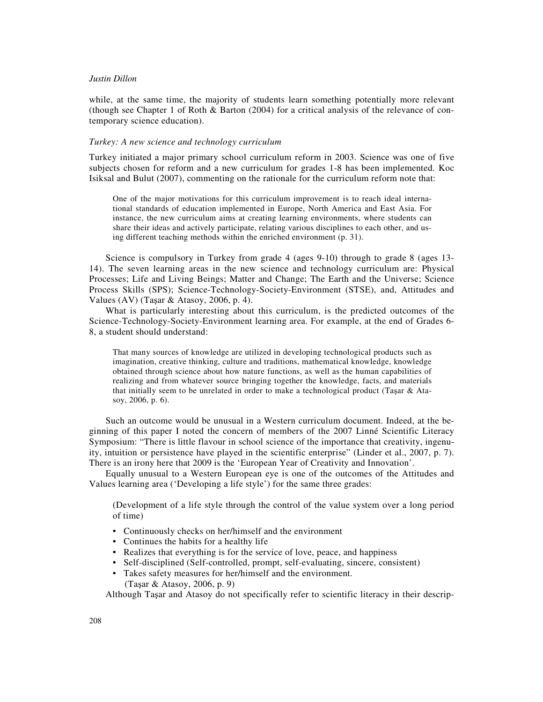while, at the same time, the majority of students learn something potentially more relevant (though see Chapter 1 of Roth & Barton (2004) for a critical analysis of the relevance of contemporary science education).

#### *Turkey: A new science and technology curriculum*

Turkey initiated a major primary school curriculum reform in 2003. Science was one of five subjects chosen for reform and a new curriculum for grades 1-8 has been implemented. Koc Isiksal and Bulut (2007), commenting on the rationale for the curriculum reform note that:

One of the major motivations for this curriculum improvement is to reach ideal international standards of education implemented in Europe, North America and East Asia. For instance, the new curriculum aims at creating learning environments, where students can share their ideas and actively participate, relating various disciplines to each other, and using different teaching methods within the enriched environment (p. 31).

Science is compulsory in Turkey from grade 4 (ages 9-10) through to grade 8 (ages 13- 14). The seven learning areas in the new science and technology curriculum are: Physical Processes; Life and Living Beings; Matter and Change; The Earth and the Universe; Science Process Skills (SPS); Science-Technology-Society-Environment (STSE), and, Attitudes and Values (AV) (Taşar & Atasoy, 2006, p. 4).

What is particularly interesting about this curriculum, is the predicted outcomes of the Science-Technology-Society-Environment learning area. For example, at the end of Grades 6- 8, a student should understand:

That many sources of knowledge are utilized in developing technological products such as imagination, creative thinking, culture and traditions, mathematical knowledge, knowledge obtained through science about how nature functions, as well as the human capabilities of realizing and from whatever source bringing together the knowledge, facts, and materials that initially seem to be unrelated in order to make a technological product (Taşar & Atasoy, 2006, p. 6).

Such an outcome would be unusual in a Western curriculum document. Indeed, at the beginning of this paper I noted the concern of members of the 2007 Linné Scientific Literacy Symposium: "There is little flavour in school science of the importance that creativity, ingenuity, intuition or persistence have played in the scientific enterprise" (Linder et al., 2007, p. 7). There is an irony here that 2009 is the 'European Year of Creativity and Innovation'.

Equally unusual to a Western European eye is one of the outcomes of the Attitudes and Values learning area ('Developing a life style') for the same three grades:

(Development of a life style through the control of the value system over a long period of time)

- Continuously checks on her/himself and the environment
- Continues the habits for a healthy life
- Realizes that everything is for the service of love, peace, and happiness
- Self-disciplined (Self-controlled, prompt, self-evaluating, sincere, consistent)
- Takes safety measures for her/himself and the environment. (Taşar & Atasoy, 2006, p. 9)

Although Taşar and Atasoy do not specifically refer to scientific literacy in their descrip-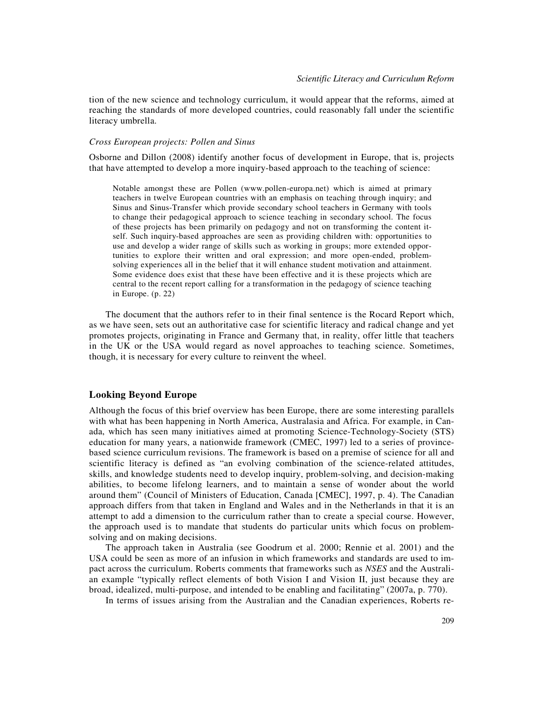tion of the new science and technology curriculum, it would appear that the reforms, aimed at reaching the standards of more developed countries, could reasonably fall under the scientific literacy umbrella.

## *Cross European projects: Pollen and Sinus*

Osborne and Dillon (2008) identify another focus of development in Europe, that is, projects that have attempted to develop a more inquiry-based approach to the teaching of science:

Notable amongst these are Pollen (www.pollen-europa.net) which is aimed at primary teachers in twelve European countries with an emphasis on teaching through inquiry; and Sinus and Sinus-Transfer which provide secondary school teachers in Germany with tools to change their pedagogical approach to science teaching in secondary school. The focus of these projects has been primarily on pedagogy and not on transforming the content itself. Such inquiry-based approaches are seen as providing children with: opportunities to use and develop a wider range of skills such as working in groups; more extended opportunities to explore their written and oral expression; and more open-ended, problemsolving experiences all in the belief that it will enhance student motivation and attainment. Some evidence does exist that these have been effective and it is these projects which are central to the recent report calling for a transformation in the pedagogy of science teaching in Europe. (p. 22)

The document that the authors refer to in their final sentence is the Rocard Report which, as we have seen, sets out an authoritative case for scientific literacy and radical change and yet promotes projects, originating in France and Germany that, in reality, offer little that teachers in the UK or the USA would regard as novel approaches to teaching science. Sometimes, though, it is necessary for every culture to reinvent the wheel.

## **Looking Beyond Europe**

Although the focus of this brief overview has been Europe, there are some interesting parallels with what has been happening in North America, Australasia and Africa. For example, in Canada, which has seen many initiatives aimed at promoting Science-Technology-Society (STS) education for many years, a nationwide framework (CMEC, 1997) led to a series of provincebased science curriculum revisions. The framework is based on a premise of science for all and scientific literacy is defined as "an evolving combination of the science-related attitudes, skills, and knowledge students need to develop inquiry, problem-solving, and decision-making abilities, to become lifelong learners, and to maintain a sense of wonder about the world around them" (Council of Ministers of Education, Canada [CMEC], 1997, p. 4). The Canadian approach differs from that taken in England and Wales and in the Netherlands in that it is an attempt to add a dimension to the curriculum rather than to create a special course. However, the approach used is to mandate that students do particular units which focus on problemsolving and on making decisions.

The approach taken in Australia (see Goodrum et al. 2000; Rennie et al. 2001) and the USA could be seen as more of an infusion in which frameworks and standards are used to impact across the curriculum. Roberts comments that frameworks such as *NSES* and the Australian example "typically reflect elements of both Vision I and Vision II, just because they are broad, idealized, multi-purpose, and intended to be enabling and facilitating" (2007a, p. 770).

In terms of issues arising from the Australian and the Canadian experiences, Roberts re-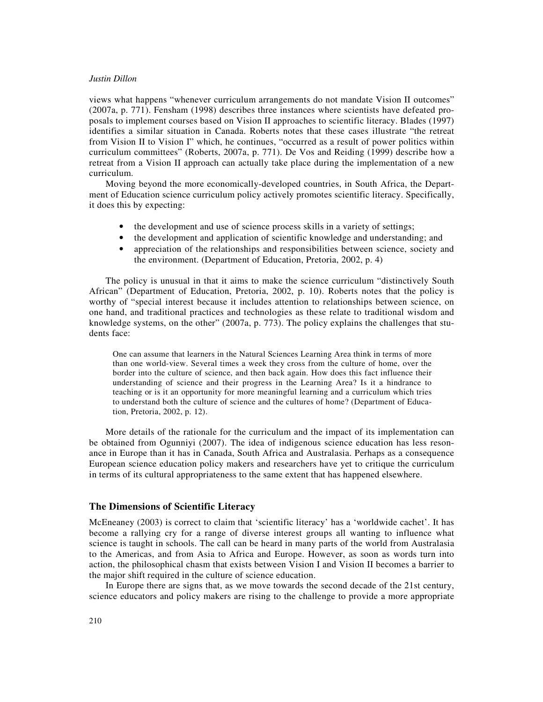views what happens "whenever curriculum arrangements do not mandate Vision II outcomes" (2007a, p. 771). Fensham (1998) describes three instances where scientists have defeated proposals to implement courses based on Vision II approaches to scientific literacy. Blades (1997) identifies a similar situation in Canada. Roberts notes that these cases illustrate "the retreat from Vision II to Vision I" which, he continues, "occurred as a result of power politics within curriculum committees" (Roberts, 2007a, p. 771). De Vos and Reiding (1999) describe how a retreat from a Vision II approach can actually take place during the implementation of a new curriculum.

Moving beyond the more economically-developed countries, in South Africa, the Department of Education science curriculum policy actively promotes scientific literacy. Specifically, it does this by expecting:

- the development and use of science process skills in a variety of settings;
- the development and application of scientific knowledge and understanding; and
- appreciation of the relationships and responsibilities between science, society and the environment. (Department of Education, Pretoria, 2002, p. 4)

The policy is unusual in that it aims to make the science curriculum "distinctively South African" (Department of Education, Pretoria, 2002, p. 10). Roberts notes that the policy is worthy of "special interest because it includes attention to relationships between science, on one hand, and traditional practices and technologies as these relate to traditional wisdom and knowledge systems, on the other" (2007a, p. 773). The policy explains the challenges that students face:

One can assume that learners in the Natural Sciences Learning Area think in terms of more than one world-view. Several times a week they cross from the culture of home, over the border into the culture of science, and then back again. How does this fact influence their understanding of science and their progress in the Learning Area? Is it a hindrance to teaching or is it an opportunity for more meaningful learning and a curriculum which tries to understand both the culture of science and the cultures of home? (Department of Education, Pretoria, 2002, p. 12).

More details of the rationale for the curriculum and the impact of its implementation can be obtained from Ogunniyi (2007). The idea of indigenous science education has less resonance in Europe than it has in Canada, South Africa and Australasia. Perhaps as a consequence European science education policy makers and researchers have yet to critique the curriculum in terms of its cultural appropriateness to the same extent that has happened elsewhere.

# **The Dimensions of Scientific Literacy**

McEneaney (2003) is correct to claim that 'scientific literacy' has a 'worldwide cachet'. It has become a rallying cry for a range of diverse interest groups all wanting to influence what science is taught in schools. The call can be heard in many parts of the world from Australasia to the Americas, and from Asia to Africa and Europe. However, as soon as words turn into action, the philosophical chasm that exists between Vision I and Vision II becomes a barrier to the major shift required in the culture of science education.

In Europe there are signs that, as we move towards the second decade of the 21st century, science educators and policy makers are rising to the challenge to provide a more appropriate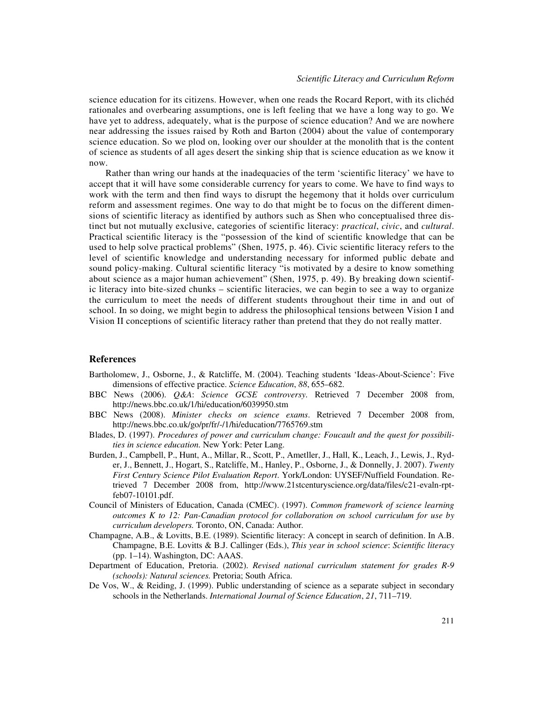science education for its citizens. However, when one reads the Rocard Report, with its clichéd rationales and overbearing assumptions, one is left feeling that we have a long way to go. We have yet to address, adequately, what is the purpose of science education? And we are nowhere near addressing the issues raised by Roth and Barton (2004) about the value of contemporary science education. So we plod on, looking over our shoulder at the monolith that is the content of science as students of all ages desert the sinking ship that is science education as we know it now.

Rather than wring our hands at the inadequacies of the term 'scientific literacy' we have to accept that it will have some considerable currency for years to come. We have to find ways to work with the term and then find ways to disrupt the hegemony that it holds over curriculum reform and assessment regimes. One way to do that might be to focus on the different dimensions of scientific literacy as identified by authors such as Shen who conceptualised three distinct but not mutually exclusive, categories of scientific literacy: *practical*, *civic*, and *cultural*. Practical scientific literacy is the "possession of the kind of scientific knowledge that can be used to help solve practical problems" (Shen, 1975, p. 46). Civic scientific literacy refers to the level of scientific knowledge and understanding necessary for informed public debate and sound policy-making. Cultural scientific literacy "is motivated by a desire to know something about science as a major human achievement" (Shen, 1975, p. 49). By breaking down scientific literacy into bite-sized chunks – scientific literacies, we can begin to see a way to organize the curriculum to meet the needs of different students throughout their time in and out of school. In so doing, we might begin to address the philosophical tensions between Vision I and Vision II conceptions of scientific literacy rather than pretend that they do not really matter.

#### **References**

- Bartholomew, J., Osborne, J., & Ratcliffe, M. (2004). Teaching students 'Ideas-About-Science': Five dimensions of effective practice. *Science Education*, *88*, 655–682.
- BBC News (2006). *Q&A*: *Science GCSE controversy*. Retrieved 7 December 2008 from, http://news.bbc.co.uk/1/hi/education/6039950.stm
- BBC News (2008). *Minister checks on science exams*. Retrieved 7 December 2008 from, http://news.bbc.co.uk/go/pr/fr/-/1/hi/education/7765769.stm
- Blades, D. (1997). *Procedures of power and curriculum change: Foucault and the quest for possibilities in science education.* New York: Peter Lang.
- Burden, J., Campbell, P., Hunt, A., Millar, R., Scott, P., Ametller, J., Hall, K., Leach, J., Lewis, J., Ryder, J., Bennett, J., Hogart, S., Ratcliffe, M., Hanley, P., Osborne, J., & Donnelly, J. 2007). *Twenty First Century Science Pilot Evaluation Report*. York/London: UYSEF/Nuffield Foundation. Retrieved 7 December 2008 from, http://www.21stcenturyscience.org/data/files/c21-evaln-rptfeb07-10101.pdf.
- Council of Ministers of Education, Canada (CMEC). (1997). *Common framework of science learning outcomes K to 12: Pan-Canadian protocol for collaboration on school curriculum for use by curriculum developers.* Toronto, ON, Canada: Author*.*
- Champagne, A.B., & Lovitts, B.E. (1989). Scientific literacy: A concept in search of definition. In A.B. Champagne, B.E. Lovitts & B.J. Callinger (Eds.), *This year in school science*: *Scientific literacy* (pp. 1–14). Washington, DC: AAAS.
- Department of Education, Pretoria. (2002). *Revised national curriculum statement for grades R-9 (schools): Natural sciences.* Pretoria; South Africa.
- De Vos, W., & Reiding, J. (1999). Public understanding of science as a separate subject in secondary schools in the Netherlands. *International Journal of Science Education*, *21*, 711–719.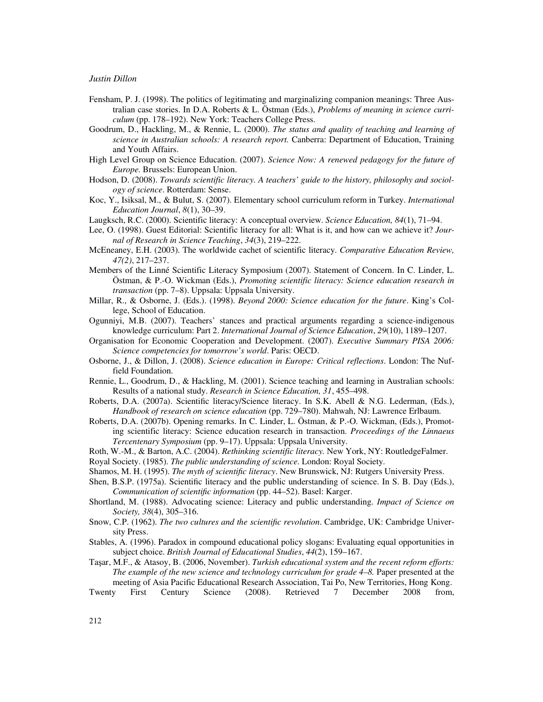- Fensham, P. J. (1998). The politics of legitimating and marginalizing companion meanings: Three Australian case stories. In D.A. Roberts & L. Östman (Eds.), *Problems of meaning in science curriculum* (pp. 178–192). New York: Teachers College Press.
- Goodrum, D., Hackling, M., & Rennie, L. (2000). *The status and quality of teaching and learning of science in Australian schools: A research report.* Canberra: Department of Education, Training and Youth Affairs.
- High Level Group on Science Education. (2007). *Science Now: A renewed pedagogy for the future of Europe.* Brussels: European Union.
- Hodson, D. (2008). *Towards scientific literacy. A teachers' guide to the history, philosophy and sociology of science*. Rotterdam: Sense.
- Koc, Y., Isiksal, M., & Bulut, S. (2007). Elementary school curriculum reform in Turkey. *International Education Journal*, *8*(1), 30–39.
- Laugksch, R.C. (2000). Scientific literacy: A conceptual overview. *Science Education, 84*(1), 71–94.
- Lee, O. (1998). Guest Editorial: Scientific literacy for all: What is it, and how can we achieve it? *Journal of Research in Science Teaching*, *34*(3), 219–222.
- McEneaney, E.H. (2003). The worldwide cachet of scientific literacy. *Comparative Education Review, 47(2)*, 217–237.
- Members of the Linné Scientific Literacy Symposium (2007). Statement of Concern. In C. Linder, L. Östman, & P.-O. Wickman (Eds.), *Promoting scientific literacy: Science education research in transaction* (pp. 7–8). Uppsala: Uppsala University.
- Millar, R., & Osborne, J. (Eds.). (1998). *Beyond 2000: Science education for the future*. King's College, School of Education.
- Ogunniyi, M.B. (2007). Teachers' stances and practical arguments regarding a science-indigenous knowledge curriculum: Part 2. *International Journal of Science Education*, *29*(10), 1189–1207.
- Organisation for Economic Cooperation and Development. (2007). *Executive Summary PISA 2006: Science competencies for tomorrow's world*. Paris: OECD.
- Osborne, J., & Dillon, J. (2008). *Science education in Europe: Critical reflections*. London: The Nuffield Foundation.
- Rennie, L., Goodrum, D., & Hackling, M. (2001). Science teaching and learning in Australian schools: Results of a national study. *Research in Science Education, 31*, 455–498.
- Roberts, D.A. (2007a). Scientific literacy/Science literacy. In S.K. Abell & N.G. Lederman, (Eds.), *Handbook of research on science education* (pp. 729–780). Mahwah, NJ: Lawrence Erlbaum.
- Roberts, D.A. (2007b). Opening remarks. In C. Linder, L. Östman, & P.-O. Wickman, (Eds.), Promoting scientific literacy: Science education research in transaction. *Proceedings of the Linnaeus Tercentenary Symposium* (pp. 9–17). Uppsala: Uppsala University.
- Roth, W.-M., & Barton, A.C. (2004). *Rethinking scientific literacy.* New York, NY: RoutledgeFalmer.
- Royal Society. (1985). *The public understanding of science*. London: Royal Society.
- Shamos, M. H. (1995). *The myth of scientific literacy*. New Brunswick, NJ: Rutgers University Press.
- Shen, B.S.P. (1975a). Scientific literacy and the public understanding of science. In S. B. Day (Eds.), *Communication of scientific information* (pp. 44–52). Basel: Karger.
- Shortland, M. (1988). Advocating science: Literacy and public understanding. *Impact of Science on Society, 38*(4), 305–316.
- Snow, C.P. (1962). *The two cultures and the scientific revolution*. Cambridge, UK: Cambridge University Press.
- Stables, A. (1996). Paradox in compound educational policy slogans: Evaluating equal opportunities in subject choice. *British Journal of Educational Studies*, *44*(2), 159–167.
- Taşar, M.F., & Atasoy, B. (2006, November). *Turkish educational system and the recent reform efforts: The example of the new science and technology curriculum for grade 4–8.* Paper presented at the meeting of Asia Pacific Educational Research Association, Tai Po, New Territories, Hong Kong.
- Twenty First Century Science (2008). Retrieved 7 December 2008 from,